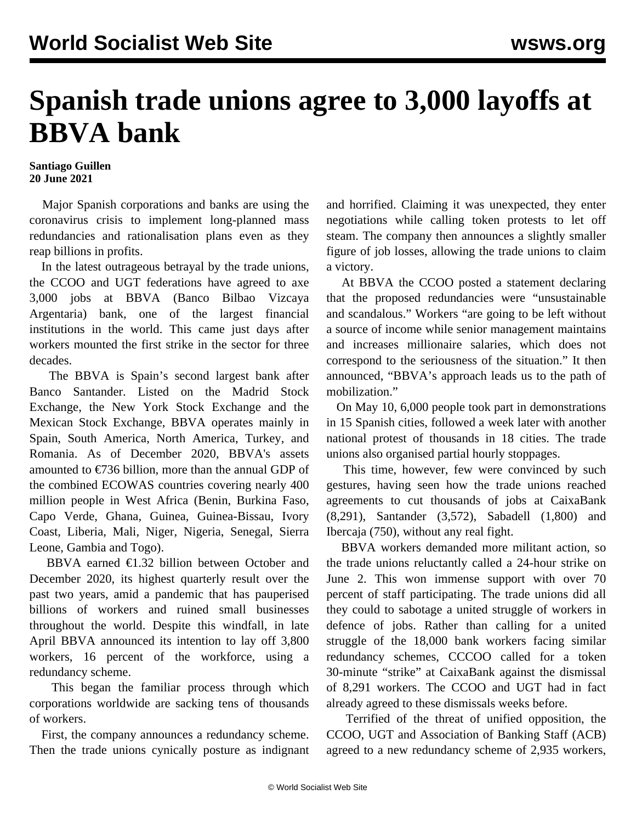## **Spanish trade unions agree to 3,000 layoffs at BBVA bank**

## **Santiago Guillen 20 June 2021**

 Major Spanish corporations and banks are using the coronavirus crisis to implement long-planned mass redundancies and rationalisation plans even as they reap billions in profits.

 In the latest outrageous betrayal by the trade unions, the CCOO and UGT federations have agreed to axe 3,000 jobs at BBVA (Banco Bilbao Vizcaya Argentaria) bank, one of the largest financial institutions in the world. This came just days after workers mounted the first strike in the sector for three decades.

 The BBVA is Spain's second largest bank after Banco Santander. Listed on the Madrid Stock Exchange, the New York Stock Exchange and the Mexican Stock Exchange, BBVA operates mainly in Spain, South America, North America, Turkey, and Romania. As of December 2020, BBVA's assets amounted to  $\epsilon$ 736 billion, more than the annual GDP of the combined ECOWAS countries covering nearly 400 million people in West Africa (Benin, Burkina Faso, Capo Verde, Ghana, Guinea, Guinea-Bissau, Ivory Coast, Liberia, Mali, Niger, Nigeria, Senegal, Sierra Leone, Gambia and Togo).

 BBVA earned €1.32 billion between October and December 2020, its highest quarterly result over the past two years, amid a pandemic that has pauperised billions of workers and ruined small businesses throughout the world. Despite this windfall, in late April BBVA announced its intention to lay off 3,800 workers, 16 percent of the workforce, using a redundancy scheme.

 This began the familiar process through which corporations worldwide are sacking tens of thousands of workers.

 First, the company announces a redundancy scheme. Then the trade unions cynically posture as indignant and horrified. Claiming it was unexpected, they enter negotiations while calling token protests to let off steam. The company then announces a slightly smaller figure of job losses, allowing the trade unions to claim a victory.

 At BBVA the CCOO posted a statement declaring that the proposed redundancies were "unsustainable and scandalous." Workers "are going to be left without a source of income while senior management maintains and increases millionaire salaries, which does not correspond to the seriousness of the situation." It then announced, "BBVA's approach leads us to the path of mobilization."

 On May 10, 6,000 people took part in demonstrations in 15 Spanish cities, followed a week later with another national protest of thousands in 18 cities. The trade unions also organised partial hourly stoppages.

 This time, however, few were convinced by such gestures, having seen how the trade unions reached agreements to cut thousands of jobs at CaixaBank (8,291), Santander (3,572), Sabadell (1,800) and Ibercaja (750), without any real fight.

 BBVA workers demanded more militant action, so the trade unions reluctantly called a 24-hour strike on June 2. This won immense support with over 70 percent of staff participating. The trade unions did all they could to sabotage a united struggle of workers in defence of jobs. Rather than calling for a united struggle of the 18,000 bank workers facing similar redundancy schemes, CCCOO called for a token 30-minute "strike" at CaixaBank against the dismissal of 8,291 workers. The CCOO and UGT had in fact already [agreed](/en/articles/2021/04/28/spai-a28.html) to these dismissals weeks before.

 Terrified of the threat of unified opposition, the CCOO, UGT and Association of Banking Staff (ACB) agreed to a new redundancy scheme of 2,935 workers,